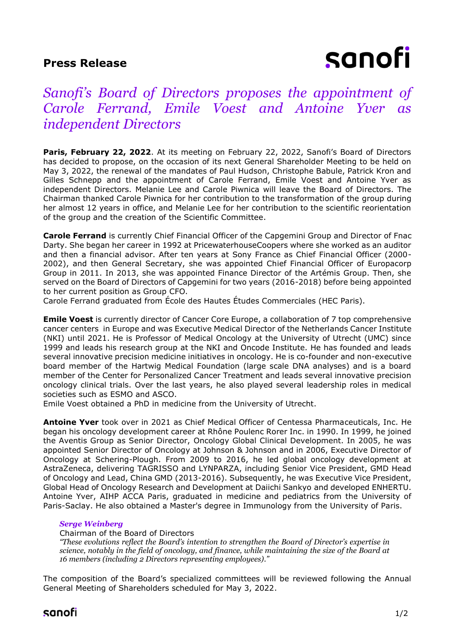# **Press Release**

# sanofi

# *Sanofi's Board of Directors proposes the appointment of Carole Ferrand, Emile Voest and Antoine Yver as independent Directors*

**Paris, February 22, 2022**. At its meeting on February 22, 2022, Sanofi's Board of Directors has decided to propose, on the occasion of its next General Shareholder Meeting to be held on May 3, 2022, the renewal of the mandates of Paul Hudson, Christophe Babule, Patrick Kron and Gilles Schnepp and the appointment of Carole Ferrand, Emile Voest and Antoine Yver as independent Directors. Melanie Lee and Carole Piwnica will leave the Board of Directors. The Chairman thanked Carole Piwnica for her contribution to the transformation of the group during her almost 12 years in office, and Melanie Lee for her contribution to the scientific reorientation of the group and the creation of the Scientific Committee.

**Carole Ferrand** is currently Chief Financial Officer of the Capgemini Group and Director of Fnac Darty. She began her career in 1992 at PricewaterhouseCoopers where she worked as an auditor and then a financial advisor. After ten years at Sony France as Chief Financial Officer (2000- 2002), and then General Secretary, she was appointed Chief Financial Officer of Europacorp Group in 2011. In 2013, she was appointed Finance Director of the Artémis Group. Then, she served on the Board of Directors of Capgemini for two years (2016-2018) before being appointed to her current position as Group CFO.

Carole Ferrand graduated from École des Hautes Études Commerciales (HEC Paris).

**Emile Voest** is currently director of Cancer Core Europe, a collaboration of 7 top comprehensive cancer centers in Europe and was Executive Medical Director of the Netherlands Cancer Institute (NKI) until 2021. He is Professor of Medical Oncology at the University of Utrecht (UMC) since 1999 and leads his research group at the NKI and Oncode Institute. He has founded and leads several innovative precision medicine initiatives in oncology. He is co-founder and non-executive board member of the Hartwig Medical Foundation (large scale DNA analyses) and is a board member of the Center for Personalized Cancer Treatment and leads several innovative precision oncology clinical trials. Over the last years, he also played several leadership roles in medical societies such as ESMO and ASCO.

Emile Voest obtained a PhD in medicine from the University of Utrecht.

**Antoine Yver** took over in 2021 as Chief Medical Officer of Centessa Pharmaceuticals, Inc. He began his oncology development career at Rhône Poulenc Rorer Inc. in 1990. In 1999, he joined the Aventis Group as Senior Director, Oncology Global Clinical Development. In 2005, he was appointed Senior Director of Oncology at Johnson & Johnson and in 2006, Executive Director of Oncology at Schering-Plough. From 2009 to 2016, he led global oncology development at AstraZeneca, delivering TAGRISSO and LYNPARZA, including Senior Vice President, GMD Head of Oncology and Lead, China GMD (2013-2016). Subsequently, he was Executive Vice President, Global Head of Oncology Research and Development at Daiichi Sankyo and developed ENHERTU. Antoine Yver, AIHP ACCA Paris, graduated in medicine and pediatrics from the University of Paris-Saclay. He also obtained a Master's degree in Immunology from the University of Paris.

## *Serge Weinberg*

Chairman of the Board of Directors

*"These evolutions reflect the Board's intention to strengthen the Board of Director's expertise in science, notably in the field of oncology, and finance, while maintaining the size of the Board at 16 members (including 2 Directors representing employees)."*

The composition of the Board's specialized committees will be reviewed following the Annual General Meeting of Shareholders scheduled for May 3, 2022.